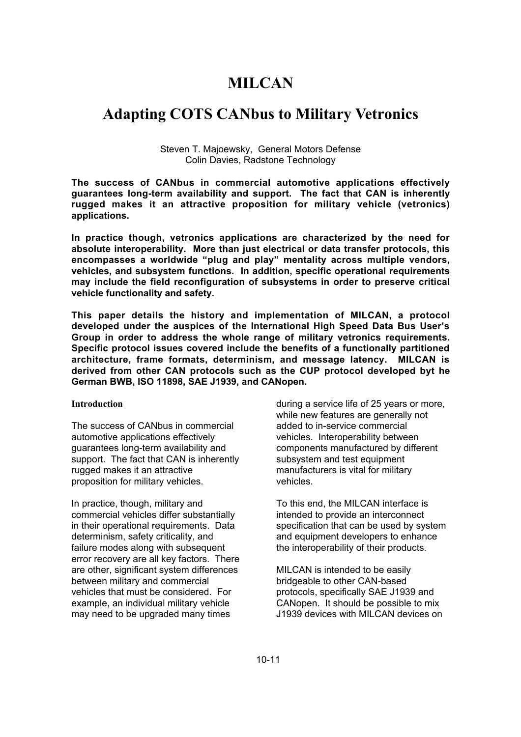# **MILCAN**

# **Adapting COTS CANbus to Military Vetronics**

Steven T. Majoewsky, General Motors Defense Colin Davies, Radstone Technology

**The success of CANbus in commercial automotive applications effectively guarantees long-term availability and support. The fact that CAN is inherently rugged makes it an attractive proposition for military vehicle (vetronics) applications.**

**In practice though, vetronics applications are characterized by the need for absolute interoperability. More than just electrical or data transfer protocols, this encompasses a worldwide "plug and play" mentality across multiple vendors, vehicles, and subsystem functions. In addition, specific operational requirements may include the field reconfiguration of subsystems in order to preserve critical vehicle functionality and safety.**

**This paper details the history and implementation of MILCAN, a protocol developed under the auspices of the International High Speed Data Bus User's Group in order to address the whole range of military vetronics requirements. Specific protocol issues covered include the benefits of a functionally partitioned architecture, frame formats, determinism, and message latency. MILCAN is derived from other CAN protocols such as the CUP protocol developed byt he German BWB, ISO 11898, SAE J1939, and CANopen.**

### **Introduction**

The success of CANbus in commercial automotive applications effectively guarantees long-term availability and support. The fact that CAN is inherently rugged makes it an attractive proposition for military vehicles.

In practice, though, military and commercial vehicles differ substantially in their operational requirements. Data determinism, safety criticality, and failure modes along with subsequent error recovery are all key factors. There are other, significant system differences between military and commercial vehicles that must be considered. For example, an individual military vehicle may need to be upgraded many times

during a service life of 25 years or more, while new features are generally not added to in-service commercial vehicles. Interoperability between components manufactured by different subsystem and test equipment manufacturers is vital for military vehicles.

To this end, the MILCAN interface is intended to provide an interconnect specification that can be used by system and equipment developers to enhance the interoperability of their products.

MILCAN is intended to be easily bridgeable to other CAN-based protocols, specifically SAE J1939 and CANopen. It should be possible to mix J1939 devices with MILCAN devices on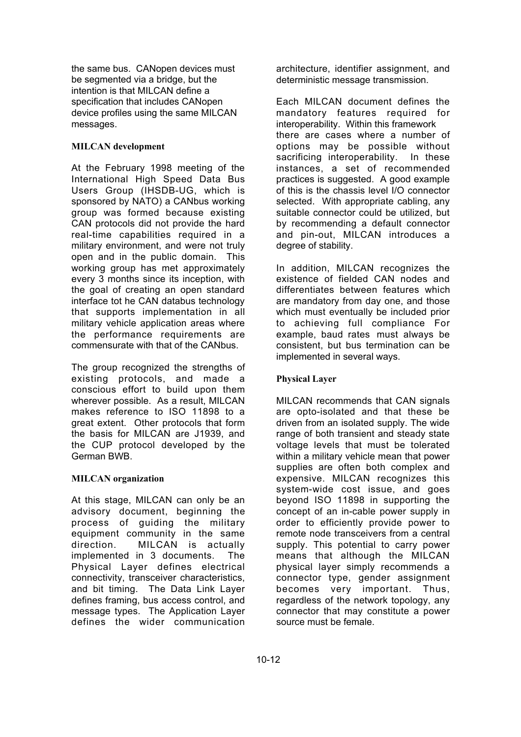the same bus. CANopen devices must be segmented via a bridge, but the intention is that MILCAN define a specification that includes CANopen device profiles using the same MILCAN messages.

## **MILCAN development**

At the February 1998 meeting of the International High Speed Data Bus Users Group (IHSDB-UG, which is sponsored by NATO) a CANbus working group was formed because existing CAN protocols did not provide the hard real-time capabilities required in a military environment, and were not truly open and in the public domain. This working group has met approximately every 3 months since its inception, with the goal of creating an open standard interface tot he CAN databus technology that supports implementation in all military vehicle application areas where the performance requirements are commensurate with that of the CANbus.

The group recognized the strengths of existing protocols, and made a conscious effort to build upon them wherever possible. As a result, MILCAN makes reference to ISO 11898 to a great extent. Other protocols that form the basis for MILCAN are J1939, and the CUP protocol developed by the German BWB.

## **MILCAN organization**

At this stage, MILCAN can only be an advisory document, beginning the process of guiding the military equipment community in the same direction. MILCAN is actually implemented in 3 documents. The Physical Layer defines electrical connectivity, transceiver characteristics, and bit timing. The Data Link Layer defines framing, bus access control, and message types. The Application Layer defines the wider communication

architecture, identifier assignment, and deterministic message transmission.

Each MILCAN document defines the mandatory features required for interoperability. Within this framework there are cases where a number of options may be possible without sacrificing interoperability. In these instances, a set of recommended practices is suggested. A good example of this is the chassis level I/O connector selected. With appropriate cabling, any suitable connector could be utilized, but by recommending a default connector and pin-out, MILCAN introduces a degree of stability.

In addition, MILCAN recognizes the existence of fielded CAN nodes and differentiates between features which are mandatory from day one, and those which must eventually be included prior to achieving full compliance For example, baud rates must always be consistent, but bus termination can be implemented in several ways.

## **Physical Layer**

MILCAN recommends that CAN signals are opto-isolated and that these be driven from an isolated supply. The wide range of both transient and steady state voltage levels that must be tolerated within a military vehicle mean that power supplies are often both complex and expensive. MILCAN recognizes this system-wide cost issue, and goes beyond ISO 11898 in supporting the concept of an in-cable power supply in order to efficiently provide power to remote node transceivers from a central supply. This potential to carry power means that although the MILCAN physical layer simply recommends a connector type, gender assignment becomes very important. Thus, regardless of the network topology, any connector that may constitute a power source must be female.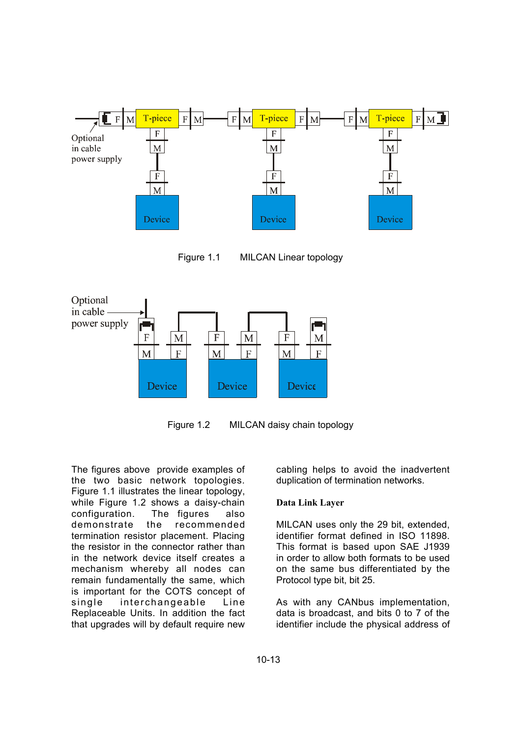

Figure 1.1 MILCAN Linear topology



Figure 1.2 MILCAN daisy chain topology

The figures above provide examples of the two basic network topologies. Figure 1.1 illustrates the linear topology, while Figure 1.2 shows a daisy-chain configuration. The figures also demonstrate the recommended termination resistor placement. Placing the resistor in the connector rather than in the network device itself creates a mechanism whereby all nodes can remain fundamentally the same, which is important for the COTS concept of single interchangeable Line Replaceable Units. In addition the fact that upgrades will by default require new

cabling helps to avoid the inadvertent duplication of termination networks.

## **Data Link Layer**

MILCAN uses only the 29 bit, extended, identifier format defined in ISO 11898. This format is based upon SAE J1939 in order to allow both formats to be used on the same bus differentiated by the Protocol type bit, bit 25.

As with any CANbus implementation, data is broadcast, and bits 0 to 7 of the identifier include the physical address of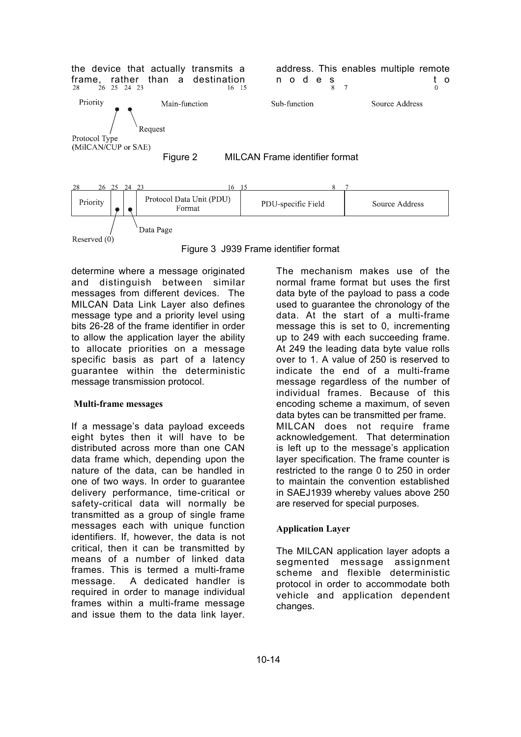

Figure 3 J939 Frame identifier format

determine where a message originated and distinguish between similar messages from different devices. The MILCAN Data Link Layer also defines message type and a priority level using bits 26-28 of the frame identifier in order to allow the application layer the ability to allocate priorities on a message specific basis as part of a latency guarantee within the deterministic message transmission protocol.

### **Multi-frame messages**

If a message's data payload exceeds eight bytes then it will have to be distributed across more than one CAN data frame which, depending upon the nature of the data, can be handled in one of two ways. In order to guarantee delivery performance, time-critical or safety-critical data will normally be transmitted as a group of single frame messages each with unique function identifiers. If, however, the data is not critical, then it can be transmitted by means of a number of linked data frames. This is termed a multi-frame message. A dedicated handler is required in order to manage individual frames within a multi-frame message and issue them to the data link layer. The mechanism makes use of the normal frame format but uses the first data byte of the payload to pass a code used to guarantee the chronology of the data. At the start of a multi-frame message this is set to 0, incrementing up to 249 with each succeeding frame. At 249 the leading data byte value rolls over to 1. A value of 250 is reserved to indicate the end of a multi-frame message regardless of the number of individual frames. Because of this encoding scheme a maximum, of seven data bytes can be transmitted per frame. MILCAN does not require frame acknowledgement. That determination is left up to the message's application layer specification. The frame counter is restricted to the range 0 to 250 in order to maintain the convention established in SAEJ1939 whereby values above 250 are reserved for special purposes.

## **Application Layer**

The MILCAN application layer adopts a segmented message assignment scheme and flexible deterministic protocol in order to accommodate both vehicle and application dependent changes.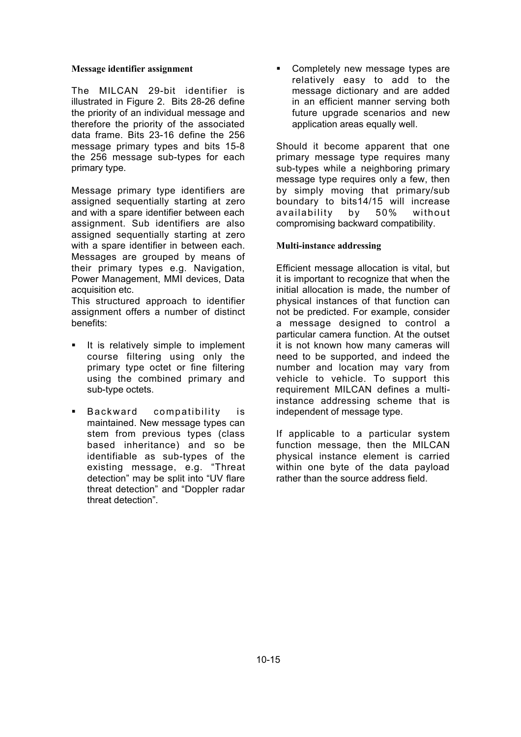#### **Message identifier assignment**

The MILCAN 29-bit identifier is illustrated in Figure 2. Bits 28-26 define the priority of an individual message and therefore the priority of the associated data frame. Bits 23-16 define the 256 message primary types and bits 15-8 the 256 message sub-types for each primary type.

Message primary type identifiers are assigned sequentially starting at zero and with a spare identifier between each assignment. Sub identifiers are also assigned sequentially starting at zero with a spare identifier in between each. Messages are grouped by means of their primary types e.g. Navigation, Power Management, MMI devices, Data acquisition etc.

This structured approach to identifier assignment offers a number of distinct benefits:

- It is relatively simple to implement course filtering using only the primary type octet or fine filtering using the combined primary and sub-type octets.
- **Backward compatibility is** maintained. New message types can stem from previous types (class based inheritance) and so be identifiable as sub-types of the existing message, e.g. "Threat detection" may be split into "UV flare threat detection" and "Doppler radar threat detection".

ß Completely new message types are relatively easy to add to the message dictionary and are added in an efficient manner serving both future upgrade scenarios and new application areas equally well.

Should it become apparent that one primary message type requires many sub-types while a neighboring primary message type requires only a few, then by simply moving that primary/sub boundary to bits14/15 will increase availability by 50% without compromising backward compatibility.

### **Multi-instance addressing**

Efficient message allocation is vital, but it is important to recognize that when the initial allocation is made, the number of physical instances of that function can not be predicted. For example, consider a message designed to control a particular camera function. At the outset it is not known how many cameras will need to be supported, and indeed the number and location may vary from vehicle to vehicle. To support this requirement MILCAN defines a multiinstance addressing scheme that is independent of message type.

If applicable to a particular system function message, then the MILCAN physical instance element is carried within one byte of the data payload rather than the source address field.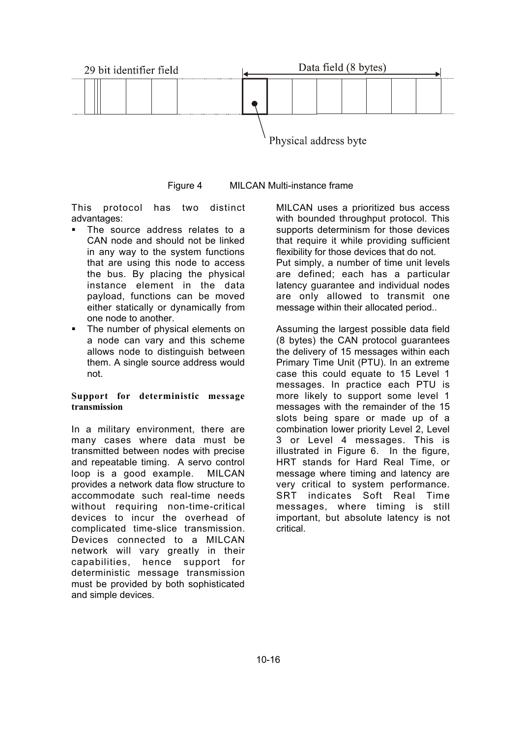

Figure 4 MILCAN Multi-instance frame

This protocol has two distinct advantages:

- The source address relates to a CAN node and should not be linked in any way to the system functions that are using this node to access the bus. By placing the physical instance element in the data payload, functions can be moved either statically or dynamically from one node to another.
- The number of physical elements on a node can vary and this scheme allows node to distinguish between them. A single source address would not.

### **Support for deterministic message transmission**

In a military environment, there are many cases where data must be transmitted between nodes with precise and repeatable timing. A servo control loop is a good example. MILCAN provides a network data flow structure to accommodate such real-time needs without requiring non-time-critical devices to incur the overhead of complicated time-slice transmission. Devices connected to a MILCAN network will vary greatly in their capabilities, hence support for deterministic message transmission must be provided by both sophisticated and simple devices.

MILCAN uses a prioritized bus access with bounded throughput protocol. This supports determinism for those devices that require it while providing sufficient flexibility for those devices that do not. Put simply, a number of time unit levels are defined; each has a particular latency guarantee and individual nodes are only allowed to transmit one message within their allocated period..

Assuming the largest possible data field (8 bytes) the CAN protocol guarantees the delivery of 15 messages within each Primary Time Unit (PTU). In an extreme case this could equate to 15 Level 1 messages. In practice each PTU is more likely to support some level 1 messages with the remainder of the 15 slots being spare or made up of a combination lower priority Level 2, Level 3 or Level 4 messages. This is illustrated in Figure 6. In the figure, HRT stands for Hard Real Time, or message where timing and latency are very critical to system performance. SRT indicates Soft Real Time messages, where timing is still important, but absolute latency is not critical.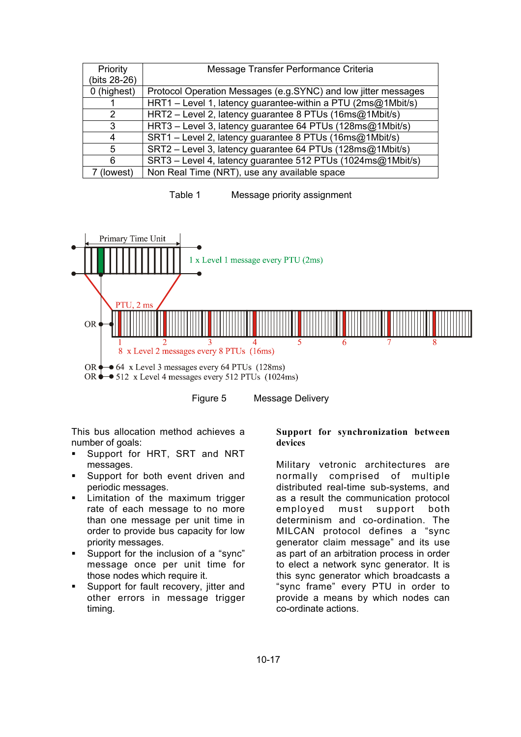| Priority     | Message Transfer Performance Criteria                          |
|--------------|----------------------------------------------------------------|
| (bits 28-26) |                                                                |
| 0 (highest)  | Protocol Operation Messages (e.g.SYNC) and low jitter messages |
|              | HRT1 – Level 1, latency guarantee-within a PTU (2ms@1Mbit/s)   |
| 2            | HRT2 - Level 2, latency guarantee 8 PTUs (16ms@1Mbit/s)        |
| 3            | HRT3 - Level 3, latency guarantee 64 PTUs (128ms@1Mbit/s)      |
| 4            | SRT1 - Level 2, latency guarantee 8 PTUs (16ms@1Mbit/s)        |
| 5            | SRT2 - Level 3, latency guarantee 64 PTUs (128ms@1Mbit/s)      |
| 6            | SRT3 - Level 4, latency guarantee 512 PTUs (1024ms@1Mbit/s)    |
| (lowest)     | Non Real Time (NRT), use any available space                   |

Table 1 Message priority assignment



Figure 5 Message Delivery

This bus allocation method achieves a number of goals:

- ß Support for HRT, SRT and NRT messages.
- Support for both event driven and periodic messages.
- ß Limitation of the maximum trigger rate of each message to no more than one message per unit time in order to provide bus capacity for low priority messages.
- **Support for the inclusion of a "sync"** message once per unit time for those nodes which require it.
- Support for fault recovery, jitter and other errors in message trigger timing.

## **Support for synchronization between devices**

Military vetronic architectures are normally comprised of multiple distributed real-time sub-systems, and as a result the communication protocol employed must support both determinism and co-ordination. The MILCAN protocol defines a "sync generator claim message" and its use as part of an arbitration process in order to elect a network sync generator. It is this sync generator which broadcasts a "sync frame" every PTU in order to provide a means by which nodes can co-ordinate actions.